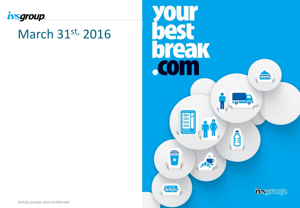

### March 31st, 2016



**Strictly private and confidential**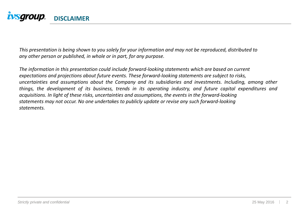

This presentation is being shown to you solely for your information and may not be reproduced, distributed to *any other person or published, in whole or in part, for any purpose.*

*The information in this presentation could include forward-looking statements which are based on current expectations and projections about future events. These forward-looking statements are subject to risks, uncertainties and assumptions about the Company and its subsidiaries and investments. Including, among other things, the development of its business, trends in its operating industry, and future capital expenditures and acquisitions. In light of these risks, uncertainties and assumptions, the events in the forward-looking statements may not occur. No one undertakes to publicly update or revise any such forward-looking statements.*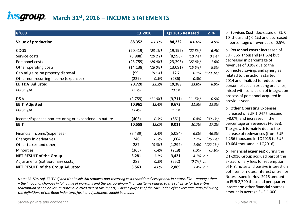### **[M](http://www.ivsgroup.it/index.asp)arch 31st, 2016 – INCOME STATEMENTS**

| € '000                                                 | Q1 2016   |            | Q1 2015 Restated | Δ%          |           |
|--------------------------------------------------------|-----------|------------|------------------|-------------|-----------|
| Value of production                                    | 88,352    | 100.0%     | 84,222           | 100.0%      | 4.9%      |
| COGS                                                   | (20, 419) | (23.1%)    | (19, 197)        | (22.8%)     | 6.4%      |
| Service costs                                          | (8,988)   | (10.2%)    | (8,998)          | (10.7%)     | $(0.1\%)$ |
| Personnel costs                                        | (23, 759) | (26.9%)    | (23, 393)        | (27.8%)     | 1.6%      |
| Other operating costs                                  | (14, 138) | $(16.0\%)$ | (13,091)         | (15.5%)     | 8.0%      |
| Capital gains on property disposal                     | (99)      | (0.1%)     | 126              | 0.1%        | (179.0%)  |
| Other non-recurring income (expenses)                  | (229)     | 0.3%       | (286)            | 0.3%        |           |
| <b>EBITDA Adjusted</b>                                 | 20,720    | 23.5%      | 19,383           | 23.0%       | 6.9%      |
| Margin (%)                                             | 23.5%     |            | 23.0%            |             |           |
| D&A                                                    | (9,759)   | (11.0%)    | (9,711)          | (11.5%)     | 0.5%      |
| <b>EBIT Adjusted</b>                                   | 10,961    | 12.4%      | 9,672            | 11.5%       | 13.3%     |
| Margin (%)                                             | 12.4%     |            | 11.5%            |             |           |
| Income/Expenses non-recurring or exceptional in nature | (403)     | 0.5%       | (661)            | 0.8%        | (39.1%)   |
| <b>EBIT</b>                                            | 10,558    | 12.0%      | 9,011            | 10.7%       | 17.2%     |
| Financial income/(expenses)                            | (7, 439)  | 8.4%       | (5,084)          | 6.0%        | 46.3%     |
| Changes in derivatives                                 | 240       | 0.3%       | 1,004            | 1.2%        | (76.1%)   |
| Other (taxes and other)                                | 287       | (0.3%)     | (1,292)          | 1.5%        | (122.2%)  |
| Minorities                                             | (365)     | 0.4%       | (218)            | 0.3%        | 67.8%     |
| <b>NET RESULT of the Group</b>                         | 3,281     | 3.7%       | 3,421            | $4.1\%$ n.r |           |
| Adjustments (extraordinary costs)                      | 282       | 0.3%       | (552)            | $(0.7\%)$   | n.r       |
| <b>NET RESULT of the Group Adjusted</b>                | 3,563     | 4.0%       | 2,869            | $3.4\%$ n.r |           |

*Note: EBITDA Adj, EBIT Adj and Net Result Adj removes non-recurring costs considered exceptional in nature, like – among others – the impact of changes in fair value of warrants and the extraordinary financial items related to the call price for the entire redemption of Senior Secure Notes due 2020 (net of tax impact). For the purpose of the calculation of the leverage ratio following the definitions of the Bond Indenture, further adjustments should be made.*

o **Services Cost**: decreased of EUR 10 thousand (-0.1%) and decreased in percentage of revenues of 0.5%.

o **Personnel costs** : increased of EUR 366 thousand (+1.6%) but decreased in percentage of revenues of 0.9% due to the connected savings and synergies related to the actions started in 2014 and finalized to reduce the personnel cost in existing branches, mixed with conclusion of integration process of personnel acquired in previous year.

o **Other Operating Expenses** : increased of EUR 1,047 thousand, (+8.0%) and increased in the percentage on revenues (+0.5%). The growth is mainly due to the increase of redevances (from EUR 9,256 thousand in 1Q2015 to EUR 10,664 thousand in 1Q2016).

o **Financial expenses**: during the Q1-2016 Group accrued part of the extraordinary fees for redemption of H.Y. notes and passive interest on both senior notes. Interest on Senior Notes issued in Nov. 2015 amount to EUR 2,700 thousand per quarter. Interest on other financial sources amount in average EUR 1,000.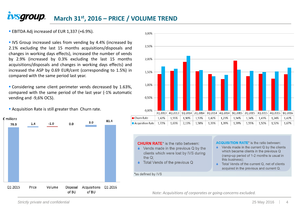#### *ivsgroup.* **March 31st, 2016 – PRICE / VOLUME TREND**

**EBITDA Adj increased of EUR 1,337 (+6.9%).** 

**IVS** Group increased sales from vending by 4.4% (increased by 2.1% excluding the last 15 months acquisitions/disposals and changes in working days effects), increased the number of vends by 2.9% (increased by 0.3% excluding the last 15 months acquisitions/disposals and changes in working days effects) and increased the ASP by 0.69 EUR/cent (corresponding to 1.5%) in compared with the same period last year.

**Considering same client perimeter vends decreased by 1.63%.** compared with the same period of the last year (-1% automatic vending and -9,6% OCS).



**Acquisition Rate is still greater than Churn rate.** 



**CHURN RATE**\* is the ratio between:

- $\bullet$  Vends made in the previous Q by the clients which were lost by IVS during the  $Q$ :
- ♦ Total Vends of the previous Q

**ACQUISITION RATE\*** is the ratio between:

- $\triangle$  Vends made in the current Q by the clients which became clients in the previous Q (ramp-up period of 1-2 months is usual in this business):
- Total Vends of the current Q, net of clients acquired in the previous and current Q.

\*as defined by IVS

*Note: Acquisitions of corporates or going-concerns excluded.*

**Strictly private and confidential**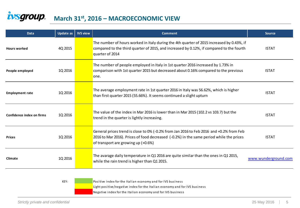#### ivsgroup. **March 31st, 2016 – MACROECONOMIC VIEW**

| <b>Data</b>               | Update as | <b>IVS view</b> | <b>Comment</b>                                                                                                                                                                                                            | <b>Source</b>        |
|---------------------------|-----------|-----------------|---------------------------------------------------------------------------------------------------------------------------------------------------------------------------------------------------------------------------|----------------------|
| <b>Hours worked</b>       | 4Q 2015   |                 | The number of hours worked in Italy during the 4th quarter of 2015 increased by 0.43%, if<br>compared to the third quarter of 2015, and increased by 0.12%, if compared to the fourth<br>quarter of 2014                  | <b>ISTAT</b>         |
| People employed           | 1Q 2016   |                 | The number of people employed in Italy in 1st quarter 2016 increased by 1.73% in<br>comparison with 1st quarter 2015 but decreased about 0.16% compared to the previous<br>one.                                           | <b>ISTAT</b>         |
| <b>Employment rate</b>    | 1Q 2016   |                 | The average employment rate in 1st quarter 2016 in Italy was 56.62%, which is higher<br>than first quarter 2015 (55.66%). It seems continued a slight upturn                                                              | <b>ISTAT</b>         |
| Confidence index on firms | 1Q 2016   |                 | The value of the index in Mar 2016 is lower than in Mar 2015 (102.2 vs 103.7) but the<br>trend in the quarter is lightly increasing.                                                                                      | <b>ISTAT</b>         |
| <b>Prices</b>             | 1Q 2016   |                 | General prices trend is close to 0% (-0.2% from Jan 2016 to Feb 2016 and +0.2% from Feb<br>2016 to Mar 2016). Prices of food decreased (-0.2%) in the same period while the prices<br>of transport are growing up (+0.6%) | <b>ISTAT</b>         |
| Climate                   | 1Q 2016   |                 | The avarage daily temperature in Q1 2016 are quite similar than the ones in Q1 2015,<br>while the rain trend is higher than Q1 2015.                                                                                      | www.wunderground.com |

KEY: Positive index for the Italian economy and for IVS business

Light positive/negative index for the Italian economy and for IVS business

Negative index for the Italian economy and for IVS business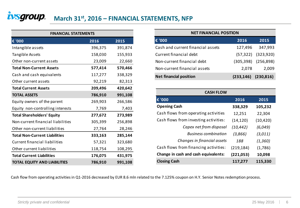#### ivsgroup. **March 31st, 2016 – FINANCIAL STATEMENTS, NFP**

| <b>FINANCIAL STATEMENTS</b>          |         |         |  |  |  |  |  |
|--------------------------------------|---------|---------|--|--|--|--|--|
| € '000                               | 2016    | 2015    |  |  |  |  |  |
| Intangible assets                    | 396,375 | 391,874 |  |  |  |  |  |
| Tangible Assets                      | 158,030 | 155,933 |  |  |  |  |  |
| Other non-current assets             | 23,009  | 22,660  |  |  |  |  |  |
| <b>Total Non-Current Assets</b>      | 577,414 | 570,466 |  |  |  |  |  |
| Cash and cash equivalents            | 117,277 | 338,329 |  |  |  |  |  |
| Other current assets                 | 92,219  | 82,313  |  |  |  |  |  |
| <b>Total Current Assets</b>          | 209,496 | 420,642 |  |  |  |  |  |
| <b>TOTAL ASSETS</b>                  | 786,910 | 991,108 |  |  |  |  |  |
| Equity owners of the parent          | 269,903 | 266,586 |  |  |  |  |  |
| Equity non-controlling interests     | 7,769   | 7,403   |  |  |  |  |  |
| <b>Total Shareholders' Equity</b>    | 277,672 | 273,989 |  |  |  |  |  |
| Non-current financial liabilities    | 305,399 | 256,898 |  |  |  |  |  |
| Other non-current liabilities        | 27,764  | 28,246  |  |  |  |  |  |
| <b>Total Non-Current Liabilities</b> | 333,163 | 285,144 |  |  |  |  |  |
| <b>Current financial liabilities</b> | 57,321  | 323,680 |  |  |  |  |  |
| Other current liabilities            | 118,754 | 108,295 |  |  |  |  |  |
| <b>Total Current Liabilities</b>     | 176,075 | 431,975 |  |  |  |  |  |
| <b>TOTAL EQUITY AND LIABILITIES</b>  | 786,910 | 991,108 |  |  |  |  |  |

| <b>NET FINANCIAL POSITION</b>     |                           |                         |  |  |  |  |  |  |
|-----------------------------------|---------------------------|-------------------------|--|--|--|--|--|--|
| € '000                            | 2016                      | 2015                    |  |  |  |  |  |  |
| Cash and current financial assets | 127,496                   | 347,993                 |  |  |  |  |  |  |
| Current financial debt            |                           | $(57,322)$ $(323,920)$  |  |  |  |  |  |  |
| Non-current financial debt        |                           | $(305,398)$ $(256,898)$ |  |  |  |  |  |  |
| Non-current financial assets      | 2,078                     | 2,009                   |  |  |  |  |  |  |
| <b>Net financial position</b>     | $(233, 146)$ $(230, 816)$ |                         |  |  |  |  |  |  |

| <b>CASH FLOW</b>                      |            |           |  |  |  |  |  |  |  |
|---------------------------------------|------------|-----------|--|--|--|--|--|--|--|
| € '000                                | 2016       | 2015      |  |  |  |  |  |  |  |
| <b>Opening Cash</b>                   | 338,329    | 105,232   |  |  |  |  |  |  |  |
| Cash flows from operating activities  | 12,251     | 22,304    |  |  |  |  |  |  |  |
| Cash flows from investing activities: | (14, 120)  | (10, 420) |  |  |  |  |  |  |  |
| Capex net from disposal               | (10, 442)  | (6,049)   |  |  |  |  |  |  |  |
| <b>Business combination</b>           | (3,866)    | (3,011)   |  |  |  |  |  |  |  |
| Changes in financial assets           | 188        | (1, 360)  |  |  |  |  |  |  |  |
| Cash flows from financing activities: | (219, 184) | (1,786)   |  |  |  |  |  |  |  |
| Change in cash and cash equivalents:  | (221,053)  | 10,098    |  |  |  |  |  |  |  |
| <b>Closing Cash</b>                   | 117,277    | 115,330   |  |  |  |  |  |  |  |

Cash flow from operating activities in Q1-2016 decreased by EUR 8.6 mln related to the 7.125% coupon on H.Y. Senior Notes redemption process.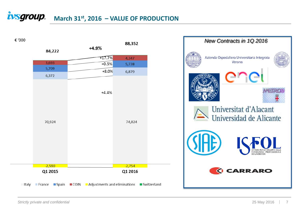### $\frac{1}{2}$ *March* **31st<sub>r</sub>, 2016 – VALUE OF PRODUCTION**



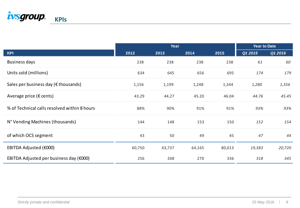

|                                                |        | <b>Year to Date</b> |        |        |         |         |
|------------------------------------------------|--------|---------------------|--------|--------|---------|---------|
| <b>KPI</b>                                     | 2012   | 2013                | 2014   | 2015   | Q1 2015 | Q1 2016 |
| <b>Business days</b>                           | 238    | 238                 | 238    | 238    | 61      | 60      |
| Units sold (millions)                          | 634    | 645                 | 656    | 695    | 174     | 179     |
| Sales per business day ( $\epsilon$ thousands) | 1,156  | 1,199               | 1,248  | 1,344  | 1,280   | 1,356   |
| Average price ( $\epsilon$ cents)              | 43.29  | 44.27               | 45.20  | 46.04  | 44.76   | 45.45   |
| % of Technical calls resolved within 8 hours   | 88%    | 90%                 | 91%    | 91%    | 93%     | 93%     |
| N° Vending Machines (thousands)                | 144    | 148                 | 153    | 150    | 152     | 154     |
| of which OCS segment                           | 43     | 50                  | 49     | 45     | 47      | 44      |
| EBITDA Adjusted (€000)                         | 60,750 | 63,737              | 64,165 | 80,013 | 19,383  | 20,720  |
| EBITDA Adjusted per business day (€000)        | 256    | 268                 | 270    | 336    | 318     | 345     |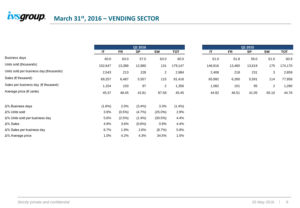## $\frac{1}{2}$ *March* 31st, 2016 – VENDING SECTOR

|                                              |           | Q1 2016   |           |                | Q1 2015   |         |           |           |                |         |
|----------------------------------------------|-----------|-----------|-----------|----------------|-----------|---------|-----------|-----------|----------------|---------|
|                                              | IT        | <b>FR</b> | <b>SP</b> | <b>SW</b>      | TOT       | IT      | <b>FR</b> | <b>SP</b> | <b>SW</b>      | ТОТ     |
| Business days                                | 60.0      | 63.0      | 57.0      | 63.0           | 60.0      | 61.0    | 61.8      | 59.0      | 61.0           | 60.9    |
| Units sold (thousands)                       | 152,647   | 13,389    | 12,980    | 131            | 179,147   | 146,916 | 13,460    | 13,619    | 175            | 174,170 |
| Units sold per business day (thousands)      | 2,543     | 213       | 228       | $\overline{2}$ | 2,984     | 2,408   | 218       | 231       | 3              | 2,859   |
| Sales ( $\epsilon$ thousand)                 | 69,257    | 6,487     | 5,557     | 115            | 81,416    | 65,992  | 6,260     | 5,591     | 114            | 77,958  |
| Sales per business day $(\epsilon$ thousand) | 1,154     | 103       | 97        | $\overline{2}$ | 1,356     | 1,082   | 101       | 95        | $\overline{2}$ | 1,280   |
| Average price (€ cents)                      | 45.37     | 48.45     | 42.81     | 87.59          | 45.45     | 44.92   | 46.51     | 41.05     | 65.10          | 44.76   |
| ∆% Business days                             | $(1.6\%)$ | 2.0%      | (3.4%)    | 3.3%           | $(1.4\%)$ |         |           |           |                |         |
| $\Delta\%$ Units sold                        | 3.9%      | $(0.5\%)$ | (4.7%)    | $(25.0\%)$     | 2.9%      |         |           |           |                |         |
| Δ% Units sold per business day               | 5.6%      | (2.5%)    | $(1.4\%)$ | (30.5%)        | 4.4%      |         |           |           |                |         |
| ∆% Sales                                     | 4.9%      | 3.6%      | $(0.6\%)$ | 0.9%           | 4.4%      |         |           |           |                |         |
| ∆% Sales per business day                    | 6.7%      | 1.9%      | 2.6%      | (8.7%)         | 5.9%      |         |           |           |                |         |
| Δ% Average price                             | 1.0%      | 4.2%      | 4.3%      | 34.5%          | 1.5%      |         |           |           |                |         |

|        |           | - VENDING SECTOR |           |            |
|--------|-----------|------------------|-----------|------------|
|        |           | Q1 2016          |           |            |
|        | <b>FR</b> | <b>SP</b>        | <b>SW</b> | <b>TOT</b> |
| 60.0   | 63.0      | 57.0             | 63.0      | 60.0       |
| 52,647 | 13,389    | 12,980           | 131       | 179,147    |
| 2,543  | 213       | 228              | 2         | 2,984      |
| 39,257 | 6,487     | 5,557            | 115       | 81,416     |
| 1,154  | 103       | 97               | 2         | 1,356      |
| 45.37  | 48.45     | 42.81            | 87.59     | 45.45      |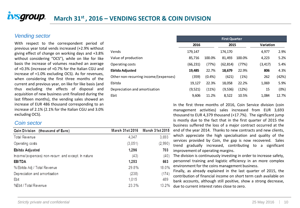#### *Vending sector*

With respect to the correspondent period of previous year total vends increased (+2.9% without giving effect of change on working days and +3.8% without considering "OCS"), while on like for like basis the increase of volumes reached an average of +0.3% (increase of +0.7% for the Italian CGU and increase of +1.0% excluding OCS). As for revenues, when considering the first three months of the current and previous year, on like for like basis (and thus excluding the effects of disposal and acquisition of new business unit finalized during the last fifteen months), the vending sales showed an increase of EUR 486 thousand corresponding to an increase of 2.1% (2.1% for the Italian CGU and 3.0% excluding OCS).

# Other non-recurring income/( $($ Depreciation and amortisation

|                                       | <b>First Quarter</b> |         |           |        |           |       |  |  |  |  |
|---------------------------------------|----------------------|---------|-----------|--------|-----------|-------|--|--|--|--|
|                                       | 2016                 |         | 2015      |        | Variation |       |  |  |  |  |
| Vends                                 | 179,147              |         | 174,170   |        | 4,977     | 2.9%  |  |  |  |  |
| Value of production                   | 85,716               | 100.0%  | 81.493    | 100.0% | 4,223     | 5.2%  |  |  |  |  |
| Operating costs                       | (66, 231)            | (77%)   | (62, 814) | (77%)  | (3, 417)  | 5.4%  |  |  |  |  |
| Ebitda Adjusted                       | 19,485               | 22.7%   | 18,679    | 22.9%  | 806       | 4.3%  |  |  |  |  |
| Other non-recurring income/(expenses) | (359)                | (0.4% ) | (621)     | (1%)   | 262       | (42%) |  |  |  |  |
| Ebitda                                | 19,127               | 22.3%   | 18,058    | 22.2%  | 1,069     | 5.9%  |  |  |  |  |
| Depreciation and amortisation         | (9,521)              | (11%)   | (9, 536)  | (12%)  | 15        | (0%)  |  |  |  |  |
| Ebit                                  | 9.606                | 11.2%   | 8,522     | 10.5%  | 1,084     | 12.7% |  |  |  |  |

In the first three months of 2016, Coin Service division (coin management activities) sales increased from EUR 3,693 thousand to EUR 4,379 thousand (+17.7%). The significant jump is mostly due to the fact that in the first quarter of 2015 the business suffered the loss of a major contract occurred at the end of the year 2014. Thanks to new contracts and new clients, which appreciate the high specialisation and quality of the services provided by Coin, the gap is now recovered. Sales trend gradually increased, contributing to a significant improvement of operating margins.

The division is continuously investing in order to increase safety, personnel training and logistic efficiency in an more complex environment for the coins management business.

Finally, as already explained in the last quarter of 2015, the contribution of financial income on short term cash available on bank accounts, although still positive, show a strong decrease, due to current interest rates close to zero.

#### *Coin sector*

| Coin Division (thousand of Euro)                    |         | March 31st 2016    March 31st 2015 |
|-----------------------------------------------------|---------|------------------------------------|
| Total Revenue                                       | 4,347   | 3,693                              |
| Operating costs                                     | (3,051) | (2,990)                            |
| Ebitda Adjusted                                     | 1,296   | 703                                |
| Income/(expences) non-recurr. and except. In nature | (43)    | (40)                               |
| EBITDA                                              | 1,253   | 663                                |
| % Ebitda Adj / Total Revenue                        | 29.8%   | 18.0%                              |
| Depreciation and amortisation                       | (238)   | (174)                              |
| Ebit                                                | 1,015   | 489                                |
| %Ebit / Total Revenue                               | 23.3%   | 13.2%                              |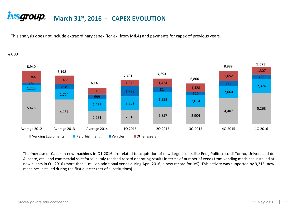#### *ivsgroup.* **March 31st, 2016 - CAPEX EVOLUTION**

This analysis does not include extraordinary capex (for ex. from M&A) and payments for capex of previous years.

#### € 000



The increase of Capex in new machines in Q1-2016 are related to acquisition of new large clients like Enel, Politecnico di Torino, Universidad de Alicante, etc., and commercial salesforce in Italy reached record operating results in terms of number of vends from vending machines installed at new clients in Q1-2016 (more than 1 million additional vends during April 2016, a new record for IVS). This activity was supported by 3,315 new machines installed during the first quarter (net of substitutions).